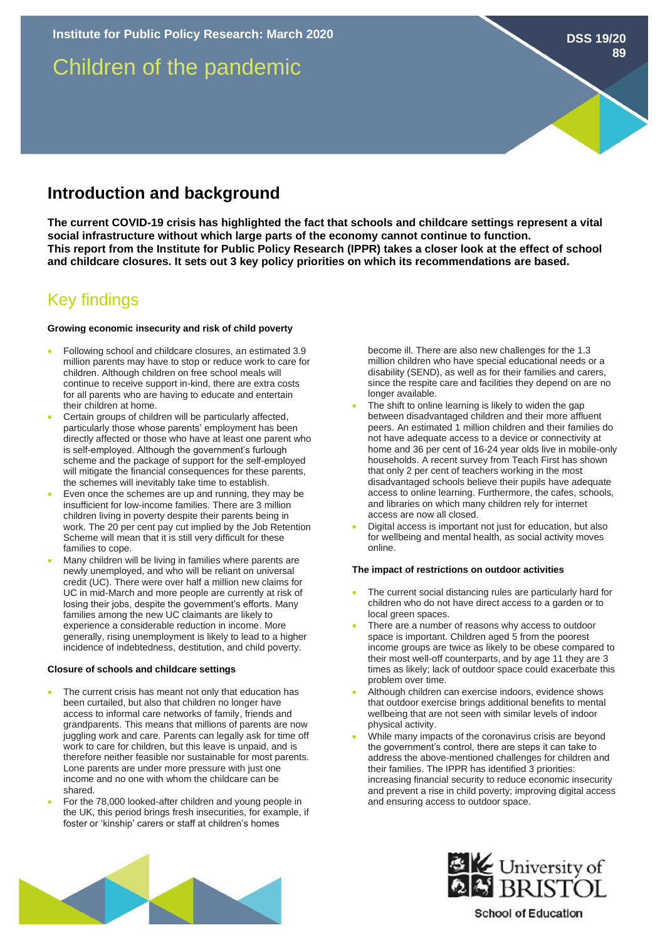# Children of the pandemic

## **Introduction and background**

**The current COVID-19 crisis has highlighted the fact that schools and childcare settings represent a vital social infrastructure without which large parts of the economy cannot continue to function. This report from the Institute for Public Policy Research (IPPR) takes a closer look at the effect of school and childcare closures. It sets out 3 key policy priorities on which its recommendations are based.** 

## Key findings

## **Growing economic insecurity and risk of child poverty**

- Following school and childcare closures, an estimated 3.9 million parents may have to stop or reduce work to care for children. Although children on free school meals will continue to receive support in-kind, there are extra costs for all parents who are having to educate and entertain their children at home.
- Certain groups of children will be particularly affected. particularly those whose parents' employment has been directly affected or those who have at least one parent who is self-employed. Although the government's furlough scheme and the package of support for the self-employed will mitigate the financial consequences for these parents, the schemes will inevitably take time to establish.
- Even once the schemes are up and running, they may be insufficient for low-income families. There are 3 million children living in poverty despite their parents being in work. The 20 per cent pay cut implied by the Job Retention Scheme will mean that it is still very difficult for these families to cope.
- Many children will be living in families where parents are newly unemployed, and who will be reliant on universal credit (UC). There were over half a million new claims for UC in mid-March and more people are currently at risk of losing their jobs, despite the government's efforts. Many families among the new UC claimants are likely to experience a considerable reduction in income. More generally, rising unemployment is likely to lead to a higher incidence of indebtedness, destitution, and child poverty.

#### **Closure of schools and childcare settings**

- The current crisis has meant not only that education has been curtailed, but also that children no longer have access to informal care networks of family, friends and grandparents. This means that millions of parents are now juggling work and care. Parents can legally ask for time off work to care for children, but this leave is unpaid, and is therefore neither feasible nor sustainable for most parents. Lone parents are under more pressure with just one income and no one with whom the childcare can be shared.
- For the 78,000 looked-after children and young people in the UK, this period brings fresh insecurities, for example, if foster or 'kinship' carers or staff at children's homes

become ill. There are also new challenges for the 1.3 million children who have special educational needs or a disability (SEND), as well as for their families and carers, since the respite care and facilities they depend on are no longer available.

- The shift to online learning is likely to widen the gap between disadvantaged children and their more affluent peers. An estimated 1 million children and their families do not have adequate access to a device or connectivity at home and 36 per cent of 16-24 year olds live in mobile-only households. A recent survey from Teach First has shown that only 2 per cent of teachers working in the most disadvantaged schools believe their pupils have adequate access to online learning. Furthermore, the cafes, schools, and libraries on which many children rely for internet access are now all closed.
- Digital access is important not just for education, but also for wellbeing and mental health, as social activity moves online.

### **The impact of restrictions on outdoor activities**

- The current social distancing rules are particularly hard for children who do not have direct access to a garden or to local green spaces.
- There are a number of reasons why access to outdoor space is important. Children aged 5 from the poorest income groups are twice as likely to be obese compared to their most well-off counterparts, and by age 11 they are 3 times as likely; lack of outdoor space could exacerbate this problem over time.
- Although children can exercise indoors, evidence shows that outdoor exercise brings additional benefits to mental wellbeing that are not seen with similar levels of indoor physical activity.
- While many impacts of the coronavirus crisis are beyond the government's control, there are steps it can take to address the above-mentioned challenges for children and their families. The IPPR has identified 3 priorities: increasing financial security to reduce economic insecurity and prevent a rise in child poverty; improving digital access and ensuring access to outdoor space.





**School of Education** 

## **DSS 19/20**

**89**